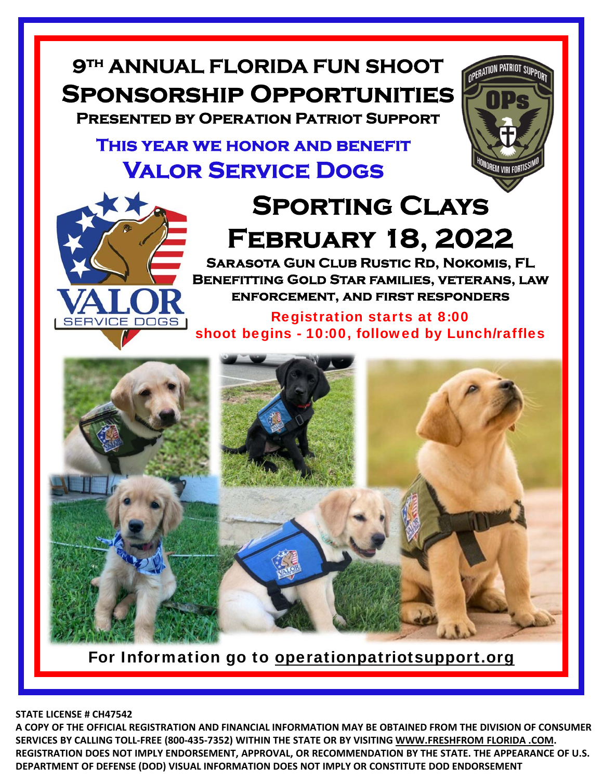## **9th ANNUAL FLORIDA FUN SHOOT Sponsorship Opportunities**

**Presented by Operation Patriot Support**

## **This year we honor and benefit Valor Service Dogs**



## **Sporting Clays February 18, 2022**

OPERATION PATRIOT SUPE

**Sarasota Gun Club Rustic Rd, Nokomis, FL Benefitting Gold Star families, veterans, law enforcement, and first responders**

Registration starts at 8:00 shoot begins - 10:00, followed by Lunch/raffles



For Information go to operationpatriotsupport.org

**STATE LICENSE # CH47542**

**A COPY OF THE OFFICIAL REGISTRATION AND FINANCIAL INFORMATION MAY BE OBTAINED FROM THE DIVISION OF CONSUMER SERVICES BY CALLING TOLL‐FREE (800‐435‐7352) WITHIN THE STATE OR BY VISITING WWW.FRESHFROM FLORIDA .COM. REGISTRATION DOES NOT IMPLY ENDORSEMENT, APPROVAL, OR RECOMMENDATION BY THE STATE. THE APPEARANCE OF U.S. DEPARTMENT OF DEFENSE (DOD) VISUAL INFORMATION DOES NOT IMPLY OR CONSTITUTE DOD ENDORSEMENT**